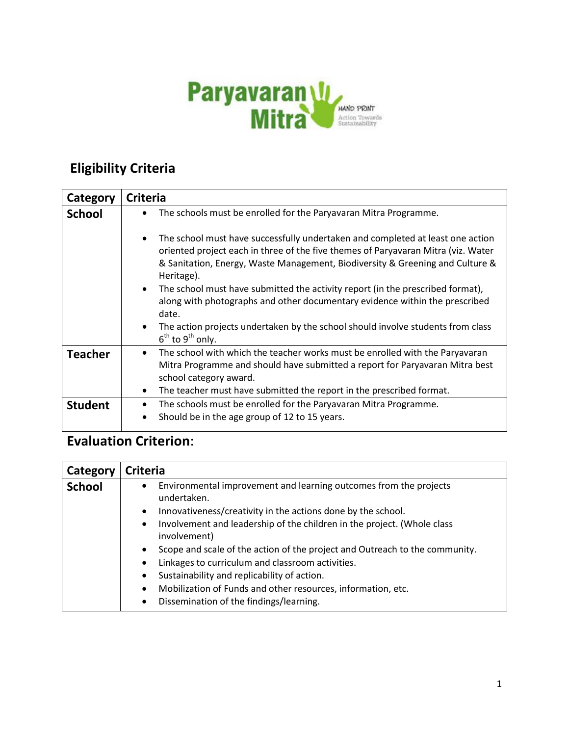

## **Eligibility Criteria**

| Category       | <b>Criteria</b>                                                                                                                                                                                                                                                                                                                                                                                                                                  |
|----------------|--------------------------------------------------------------------------------------------------------------------------------------------------------------------------------------------------------------------------------------------------------------------------------------------------------------------------------------------------------------------------------------------------------------------------------------------------|
| <b>School</b>  | The schools must be enrolled for the Paryavaran Mitra Programme.                                                                                                                                                                                                                                                                                                                                                                                 |
|                | The school must have successfully undertaken and completed at least one action<br>oriented project each in three of the five themes of Paryavaran Mitra (viz. Water<br>& Sanitation, Energy, Waste Management, Biodiversity & Greening and Culture &<br>Heritage).<br>The school must have submitted the activity report (in the prescribed format),<br>$\bullet$<br>along with photographs and other documentary evidence within the prescribed |
|                | date.                                                                                                                                                                                                                                                                                                                                                                                                                                            |
|                | The action projects undertaken by the school should involve students from class<br>$\bullet$<br>$6^{th}$ to $9^{th}$ only.                                                                                                                                                                                                                                                                                                                       |
| <b>Teacher</b> | The school with which the teacher works must be enrolled with the Paryavaran<br>$\bullet$<br>Mitra Programme and should have submitted a report for Paryavaran Mitra best<br>school category award.                                                                                                                                                                                                                                              |
|                | The teacher must have submitted the report in the prescribed format.<br>$\bullet$                                                                                                                                                                                                                                                                                                                                                                |
| <b>Student</b> | The schools must be enrolled for the Paryavaran Mitra Programme.                                                                                                                                                                                                                                                                                                                                                                                 |
|                | Should be in the age group of 12 to 15 years.<br>$\bullet$                                                                                                                                                                                                                                                                                                                                                                                       |

## **Evaluation Criterion**:

| Category      | <b>Criteria</b>                                                                                      |
|---------------|------------------------------------------------------------------------------------------------------|
| <b>School</b> | Environmental improvement and learning outcomes from the projects<br>$\bullet$<br>undertaken.        |
|               | Innovativeness/creativity in the actions done by the school.<br>$\bullet$                            |
|               | Involvement and leadership of the children in the project. (Whole class<br>$\bullet$<br>involvement) |
|               | Scope and scale of the action of the project and Outreach to the community.<br>$\bullet$             |
|               | Linkages to curriculum and classroom activities.<br>$\bullet$                                        |
|               | Sustainability and replicability of action.<br>$\bullet$                                             |
|               | Mobilization of Funds and other resources, information, etc.<br>$\bullet$                            |
|               | Dissemination of the findings/learning.                                                              |